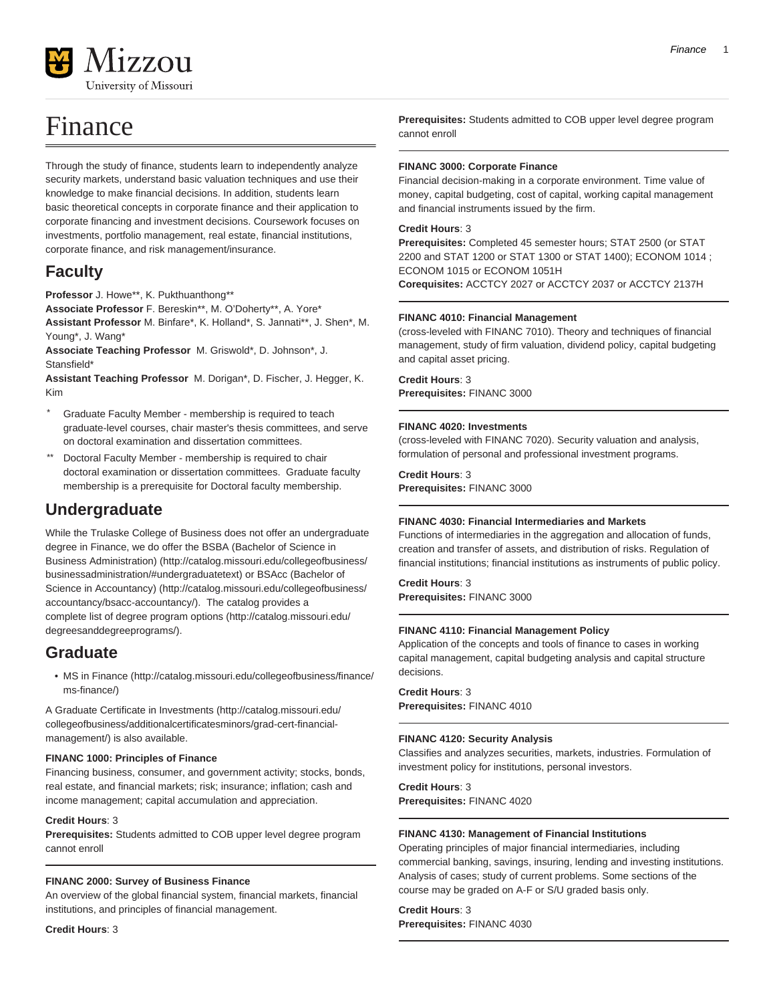

# Finance

Through the study of finance, students learn to independently analyze security markets, understand basic valuation techniques and use their knowledge to make financial decisions. In addition, students learn basic theoretical concepts in corporate finance and their application to corporate financing and investment decisions. Coursework focuses on investments, portfolio management, real estate, financial institutions, corporate finance, and risk management/insurance.

### **Faculty**

**Professor** J. Howe\*\*, K. Pukthuanthong\*\*

**Associate Professor** F. Bereskin\*\*, M. O'Doherty\*\*, A. Yore\*

**Assistant Professor** M. Binfare\*, K. Holland\*, S. Jannati\*\*, J. Shen\*, M. Young\*, J. Wang\*

**Associate Teaching Professor** M. Griswold\*, D. Johnson\*, J. Stansfield\*

**Assistant Teaching Professor** M. Dorigan\*, D. Fischer, J. Hegger, K. Kim

- Graduate Faculty Member membership is required to teach graduate-level courses, chair master's thesis committees, and serve on doctoral examination and dissertation committees.
- \*\* Doctoral Faculty Member membership is required to chair doctoral examination or dissertation committees. Graduate faculty membership is a prerequisite for Doctoral faculty membership.

## **Undergraduate**

While the Trulaske College of Business does not offer an undergraduate degree in Finance, we do offer the [BSBA \(Bachelor of Science in](http://catalog.missouri.edu/collegeofbusiness/businessadministration/#undergraduatetext) [Business Administration\)](http://catalog.missouri.edu/collegeofbusiness/businessadministration/#undergraduatetext) ([http://catalog.missouri.edu/collegeofbusiness/](http://catalog.missouri.edu/collegeofbusiness/businessadministration/#undergraduatetext) [businessadministration/#undergraduatetext\)](http://catalog.missouri.edu/collegeofbusiness/businessadministration/#undergraduatetext) or [BSAcc \(Bachelor of](http://catalog.missouri.edu/collegeofbusiness/accountancy/bsacc-accountancy/) [Science in Accountancy\) \(http://catalog.missouri.edu/collegeofbusiness/](http://catalog.missouri.edu/collegeofbusiness/accountancy/bsacc-accountancy/) [accountancy/bsacc-accountancy/\)](http://catalog.missouri.edu/collegeofbusiness/accountancy/bsacc-accountancy/). The catalog provides a complete list of [degree program options \(http://catalog.missouri.edu/](http://catalog.missouri.edu/degreesanddegreeprograms/) [degreesanddegreeprograms/](http://catalog.missouri.edu/degreesanddegreeprograms/)).

### **Graduate**

• [MS in Finance](http://catalog.missouri.edu/collegeofbusiness/finance/ms-finance/) [\(http://catalog.missouri.edu/collegeofbusiness/finance/](http://catalog.missouri.edu/collegeofbusiness/finance/ms-finance/) [ms-finance/](http://catalog.missouri.edu/collegeofbusiness/finance/ms-finance/))

A [Graduate Certificate in Investments](http://catalog.missouri.edu/collegeofbusiness/additionalcertificatesminors/grad-cert-financial-management/) ([http://catalog.missouri.edu/](http://catalog.missouri.edu/collegeofbusiness/additionalcertificatesminors/grad-cert-financial-management/) [collegeofbusiness/additionalcertificatesminors/grad-cert-financial](http://catalog.missouri.edu/collegeofbusiness/additionalcertificatesminors/grad-cert-financial-management/)[management/\)](http://catalog.missouri.edu/collegeofbusiness/additionalcertificatesminors/grad-cert-financial-management/) is also available.

#### **FINANC 1000: Principles of Finance**

Financing business, consumer, and government activity; stocks, bonds, real estate, and financial markets; risk; insurance; inflation; cash and income management; capital accumulation and appreciation.

#### **Credit Hours**: 3

**Prerequisites:** Students admitted to COB upper level degree program cannot enroll

#### **FINANC 2000: Survey of Business Finance**

An overview of the global financial system, financial markets, financial institutions, and principles of financial management.

**Credit Hours**: 3

**Prerequisites:** Students admitted to COB upper level degree program cannot enroll

#### **FINANC 3000: Corporate Finance**

Financial decision-making in a corporate environment. Time value of money, capital budgeting, cost of capital, working capital management and financial instruments issued by the firm.

#### **Credit Hours**: 3

**Prerequisites:** Completed 45 semester hours; STAT 2500 (or STAT 2200 and STAT 1200 or STAT 1300 or STAT 1400); ECONOM 1014 ; ECONOM 1015 or ECONOM 1051H

**Corequisites:** ACCTCY 2027 or ACCTCY 2037 or ACCTCY 2137H

#### **FINANC 4010: Financial Management**

(cross-leveled with FINANC 7010). Theory and techniques of financial management, study of firm valuation, dividend policy, capital budgeting and capital asset pricing.

**Credit Hours**: 3 **Prerequisites:** FINANC 3000

#### **FINANC 4020: Investments**

(cross-leveled with FINANC 7020). Security valuation and analysis, formulation of personal and professional investment programs.

**Credit Hours**: 3 **Prerequisites:** FINANC 3000

#### **FINANC 4030: Financial Intermediaries and Markets**

Functions of intermediaries in the aggregation and allocation of funds, creation and transfer of assets, and distribution of risks. Regulation of financial institutions; financial institutions as instruments of public policy.

#### **Credit Hours**: 3

**Prerequisites:** FINANC 3000

#### **FINANC 4110: Financial Management Policy**

Application of the concepts and tools of finance to cases in working capital management, capital budgeting analysis and capital structure decisions.

#### **Credit Hours**: 3

**Prerequisites:** FINANC 4010

#### **FINANC 4120: Security Analysis**

Classifies and analyzes securities, markets, industries. Formulation of investment policy for institutions, personal investors.

**Credit Hours**: 3 **Prerequisites:** FINANC 4020

#### **FINANC 4130: Management of Financial Institutions**

Operating principles of major financial intermediaries, including commercial banking, savings, insuring, lending and investing institutions. Analysis of cases; study of current problems. Some sections of the course may be graded on A-F or S/U graded basis only.

**Credit Hours**: 3

**Prerequisites:** FINANC 4030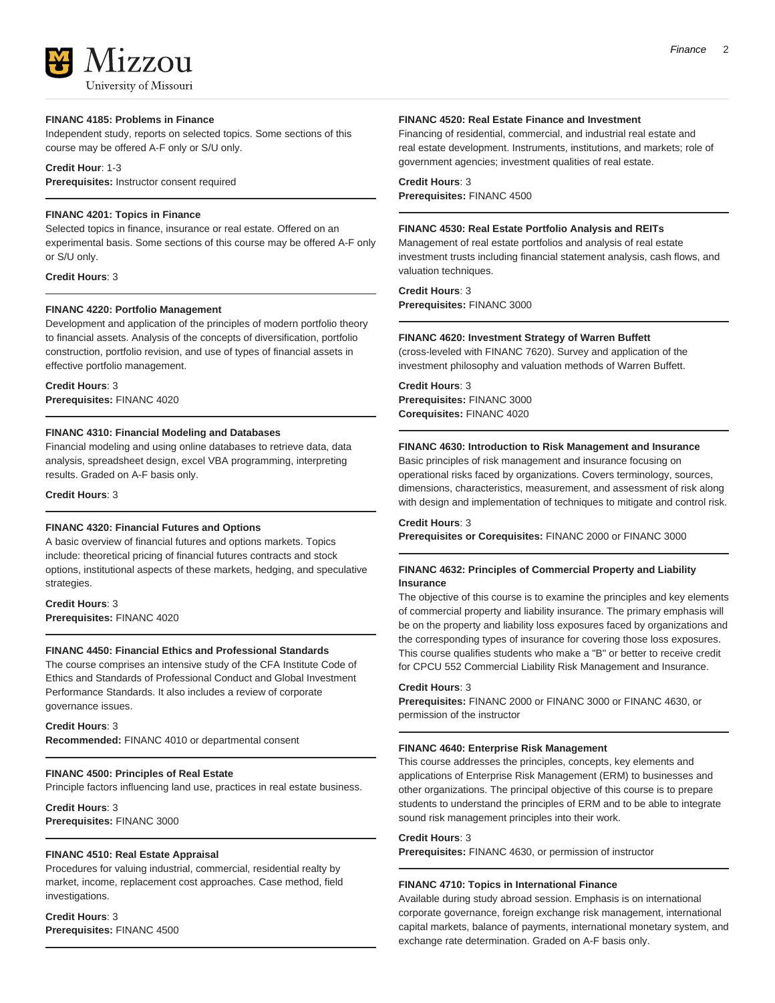## 177011 University of Missouri

#### **FINANC 4185: Problems in Finance**

Independent study, reports on selected topics. Some sections of this course may be offered A-F only or S/U only.

#### **Credit Hour**: 1-3

**Prerequisites:** Instructor consent required

#### **FINANC 4201: Topics in Finance**

Selected topics in finance, insurance or real estate. Offered on an experimental basis. Some sections of this course may be offered A-F only or S/U only.

**Credit Hours**: 3

#### **FINANC 4220: Portfolio Management**

Development and application of the principles of modern portfolio theory to financial assets. Analysis of the concepts of diversification, portfolio construction, portfolio revision, and use of types of financial assets in effective portfolio management.

#### **Credit Hours**: 3 **Prerequisites:** FINANC 4020

#### **FINANC 4310: Financial Modeling and Databases**

Financial modeling and using online databases to retrieve data, data analysis, spreadsheet design, excel VBA programming, interpreting results. Graded on A-F basis only.

#### **Credit Hours**: 3

#### **FINANC 4320: Financial Futures and Options**

A basic overview of financial futures and options markets. Topics include: theoretical pricing of financial futures contracts and stock options, institutional aspects of these markets, hedging, and speculative strategies.

#### **Credit Hours**: 3 **Prerequisites:** FINANC 4020

#### **FINANC 4450: Financial Ethics and Professional Standards**

The course comprises an intensive study of the CFA Institute Code of Ethics and Standards of Professional Conduct and Global Investment Performance Standards. It also includes a review of corporate governance issues.

#### **Credit Hours**: 3

**Recommended:** FINANC 4010 or departmental consent

#### **FINANC 4500: Principles of Real Estate**

Principle factors influencing land use, practices in real estate business.

**Credit Hours**: 3 **Prerequisites:** FINANC 3000

#### **FINANC 4510: Real Estate Appraisal**

Procedures for valuing industrial, commercial, residential realty by market, income, replacement cost approaches. Case method, field investigations.

**Credit Hours**: 3 **Prerequisites:** FINANC 4500

#### **FINANC 4520: Real Estate Finance and Investment**

Financing of residential, commercial, and industrial real estate and real estate development. Instruments, institutions, and markets; role of government agencies; investment qualities of real estate.

#### **Credit Hours**: 3

**Prerequisites:** FINANC 4500

#### **FINANC 4530: Real Estate Portfolio Analysis and REITs**

Management of real estate portfolios and analysis of real estate investment trusts including financial statement analysis, cash flows, and valuation techniques.

**Credit Hours**: 3

**Prerequisites:** FINANC 3000

#### **FINANC 4620: Investment Strategy of Warren Buffett**

(cross-leveled with FINANC 7620). Survey and application of the investment philosophy and valuation methods of Warren Buffett.

**Credit Hours**: 3 **Prerequisites:** FINANC 3000 **Corequisites:** FINANC 4020

#### **FINANC 4630: Introduction to Risk Management and Insurance**

Basic principles of risk management and insurance focusing on operational risks faced by organizations. Covers terminology, sources, dimensions, characteristics, measurement, and assessment of risk along with design and implementation of techniques to mitigate and control risk.

**Credit Hours**: 3

**Prerequisites or Corequisites:** FINANC 2000 or FINANC 3000

#### **FINANC 4632: Principles of Commercial Property and Liability Insurance**

The objective of this course is to examine the principles and key elements of commercial property and liability insurance. The primary emphasis will be on the property and liability loss exposures faced by organizations and the corresponding types of insurance for covering those loss exposures. This course qualifies students who make a "B" or better to receive credit for CPCU 552 Commercial Liability Risk Management and Insurance.

#### **Credit Hours**: 3

**Prerequisites:** FINANC 2000 or FINANC 3000 or FINANC 4630, or permission of the instructor

#### **FINANC 4640: Enterprise Risk Management**

This course addresses the principles, concepts, key elements and applications of Enterprise Risk Management (ERM) to businesses and other organizations. The principal objective of this course is to prepare students to understand the principles of ERM and to be able to integrate sound risk management principles into their work.

#### **Credit Hours**: 3

**Prerequisites:** FINANC 4630, or permission of instructor

#### **FINANC 4710: Topics in International Finance**

Available during study abroad session. Emphasis is on international corporate governance, foreign exchange risk management, international capital markets, balance of payments, international monetary system, and exchange rate determination. Graded on A-F basis only.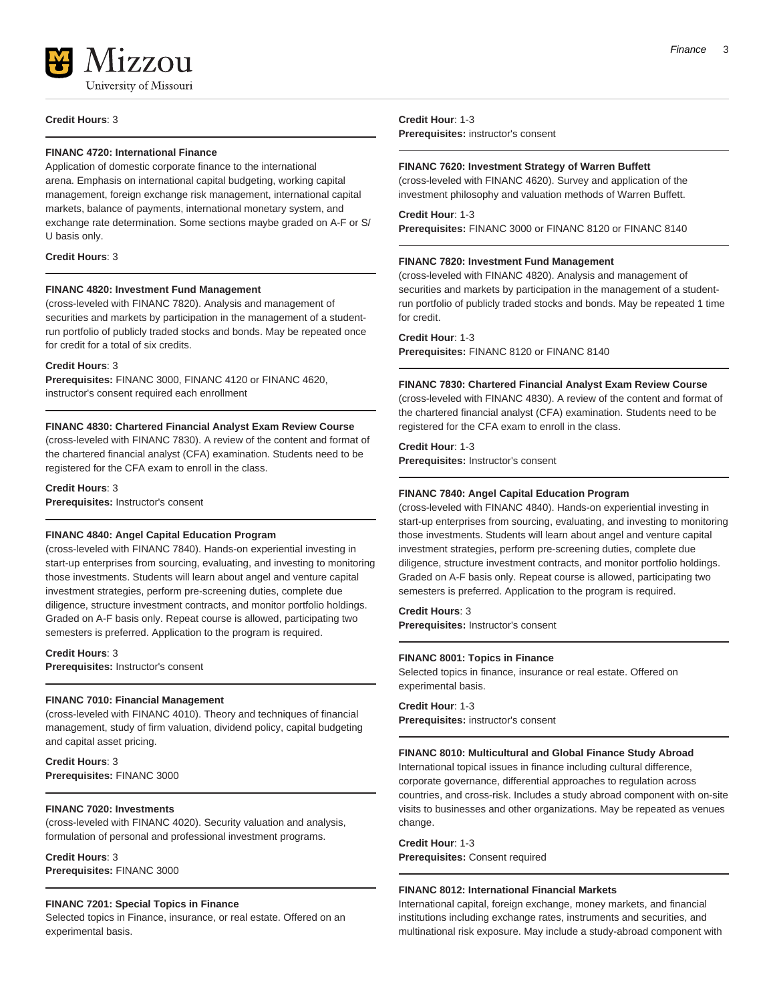

**Credit Hours**: 3

#### **FINANC 4720: International Finance**

Application of domestic corporate finance to the international arena. Emphasis on international capital budgeting, working capital management, foreign exchange risk management, international capital markets, balance of payments, international monetary system, and exchange rate determination. Some sections maybe graded on A-F or S/ U basis only.

#### **Credit Hours**: 3

#### **FINANC 4820: Investment Fund Management**

(cross-leveled with FINANC 7820). Analysis and management of securities and markets by participation in the management of a studentrun portfolio of publicly traded stocks and bonds. May be repeated once for credit for a total of six credits.

#### **Credit Hours**: 3

**Prerequisites:** FINANC 3000, FINANC 4120 or FINANC 4620, instructor's consent required each enrollment

#### **FINANC 4830: Chartered Financial Analyst Exam Review Course**

(cross-leveled with FINANC 7830). A review of the content and format of the chartered financial analyst (CFA) examination. Students need to be registered for the CFA exam to enroll in the class.

#### **Credit Hours**: 3

**Prerequisites:** Instructor's consent

#### **FINANC 4840: Angel Capital Education Program**

(cross-leveled with FINANC 7840). Hands-on experiential investing in start-up enterprises from sourcing, evaluating, and investing to monitoring those investments. Students will learn about angel and venture capital investment strategies, perform pre-screening duties, complete due diligence, structure investment contracts, and monitor portfolio holdings. Graded on A-F basis only. Repeat course is allowed, participating two semesters is preferred. Application to the program is required.

**Credit Hours**: 3 **Prerequisites:** Instructor's consent

#### **FINANC 7010: Financial Management**

(cross-leveled with FINANC 4010). Theory and techniques of financial management, study of firm valuation, dividend policy, capital budgeting and capital asset pricing.

**Credit Hours**: 3 **Prerequisites:** FINANC 3000

#### **FINANC 7020: Investments**

(cross-leveled with FINANC 4020). Security valuation and analysis, formulation of personal and professional investment programs.

**Credit Hours**: 3 **Prerequisites:** FINANC 3000

#### **FINANC 7201: Special Topics in Finance**

Selected topics in Finance, insurance, or real estate. Offered on an experimental basis.

**Credit Hour**: 1-3 **Prerequisites:** instructor's consent

#### **FINANC 7620: Investment Strategy of Warren Buffett**

(cross-leveled with FINANC 4620). Survey and application of the investment philosophy and valuation methods of Warren Buffett.

#### **Credit Hour**: 1-3 **Prerequisites:** FINANC 3000 or FINANC 8120 or FINANC 8140

#### **FINANC 7820: Investment Fund Management**

(cross-leveled with FINANC 4820). Analysis and management of securities and markets by participation in the management of a studentrun portfolio of publicly traded stocks and bonds. May be repeated 1 time for credit.

**Credit Hour**: 1-3

**Prerequisites:** FINANC 8120 or FINANC 8140

#### **FINANC 7830: Chartered Financial Analyst Exam Review Course**

(cross-leveled with FINANC 4830). A review of the content and format of the chartered financial analyst (CFA) examination. Students need to be registered for the CFA exam to enroll in the class.

#### **Credit Hour**: 1-3 **Prerequisites:** Instructor's consent

#### **FINANC 7840: Angel Capital Education Program**

(cross-leveled with FINANC 4840). Hands-on experiential investing in start-up enterprises from sourcing, evaluating, and investing to monitoring those investments. Students will learn about angel and venture capital investment strategies, perform pre-screening duties, complete due diligence, structure investment contracts, and monitor portfolio holdings. Graded on A-F basis only. Repeat course is allowed, participating two semesters is preferred. Application to the program is required.

#### **Credit Hours**: 3 **Prerequisites:** Instructor's consent

#### **FINANC 8001: Topics in Finance**

Selected topics in finance, insurance or real estate. Offered on experimental basis.

**Credit Hour**: 1-3 **Prerequisites:** instructor's consent

#### **FINANC 8010: Multicultural and Global Finance Study Abroad**

International topical issues in finance including cultural difference, corporate governance, differential approaches to regulation across countries, and cross-risk. Includes a study abroad component with on-site visits to businesses and other organizations. May be repeated as venues change.

**Credit Hour**: 1-3 **Prerequisites:** Consent required

#### **FINANC 8012: International Financial Markets**

International capital, foreign exchange, money markets, and financial institutions including exchange rates, instruments and securities, and multinational risk exposure. May include a study-abroad component with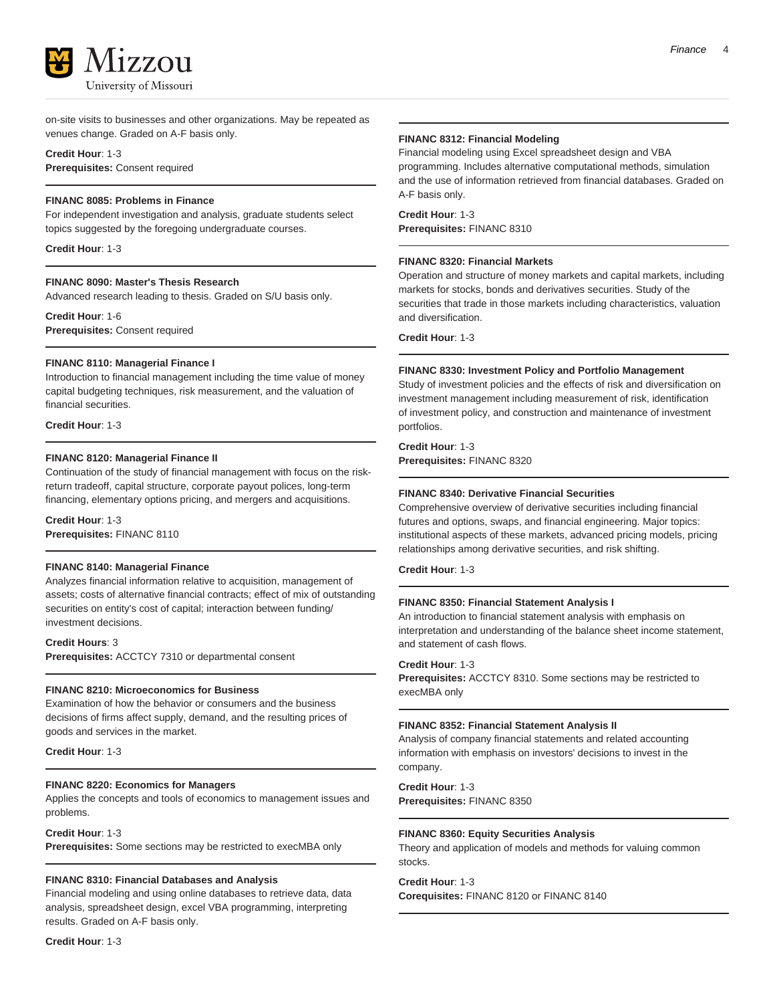

on-site visits to businesses and other organizations. May be repeated as venues change. Graded on A-F basis only.

**Credit Hour**: 1-3 **Prerequisites:** Consent required

#### **FINANC 8085: Problems in Finance**

For independent investigation and analysis, graduate students select topics suggested by the foregoing undergraduate courses.

**Credit Hour**: 1-3

#### **FINANC 8090: Master's Thesis Research**

Advanced research leading to thesis. Graded on S/U basis only.

**Credit Hour**: 1-6 **Prerequisites:** Consent required

#### **FINANC 8110: Managerial Finance I**

Introduction to financial management including the time value of money capital budgeting techniques, risk measurement, and the valuation of financial securities.

**Credit Hour**: 1-3

#### **FINANC 8120: Managerial Finance II**

Continuation of the study of financial management with focus on the riskreturn tradeoff, capital structure, corporate payout polices, long-term financing, elementary options pricing, and mergers and acquisitions.

**Credit Hour**: 1-3 **Prerequisites:** FINANC 8110

#### **FINANC 8140: Managerial Finance**

Analyzes financial information relative to acquisition, management of assets; costs of alternative financial contracts; effect of mix of outstanding securities on entity's cost of capital; interaction between funding/ investment decisions.

**Credit Hours**: 3

**Prerequisites:** ACCTCY 7310 or departmental consent

#### **FINANC 8210: Microeconomics for Business**

Examination of how the behavior or consumers and the business decisions of firms affect supply, demand, and the resulting prices of goods and services in the market.

**Credit Hour**: 1-3

#### **FINANC 8220: Economics for Managers**

Applies the concepts and tools of economics to management issues and problems.

**Credit Hour**: 1-3

**Prerequisites:** Some sections may be restricted to execMBA only

#### **FINANC 8310: Financial Databases and Analysis**

Financial modeling and using online databases to retrieve data, data analysis, spreadsheet design, excel VBA programming, interpreting results. Graded on A-F basis only.

**Credit Hour**: 1-3

#### **FINANC 8312: Financial Modeling**

Financial modeling using Excel spreadsheet design and VBA programming. Includes alternative computational methods, simulation and the use of information retrieved from financial databases. Graded on A-F basis only.

**Credit Hour**: 1-3 **Prerequisites:** FINANC 8310

#### **FINANC 8320: Financial Markets**

Operation and structure of money markets and capital markets, including markets for stocks, bonds and derivatives securities. Study of the securities that trade in those markets including characteristics, valuation and diversification.

**Credit Hour**: 1-3

#### **FINANC 8330: Investment Policy and Portfolio Management**

Study of investment policies and the effects of risk and diversification on investment management including measurement of risk, identification of investment policy, and construction and maintenance of investment portfolios.

**Credit Hour**: 1-3 **Prerequisites:** FINANC 8320

#### **FINANC 8340: Derivative Financial Securities**

Comprehensive overview of derivative securities including financial futures and options, swaps, and financial engineering. Major topics: institutional aspects of these markets, advanced pricing models, pricing relationships among derivative securities, and risk shifting.

**Credit Hour**: 1-3

#### **FINANC 8350: Financial Statement Analysis I**

An introduction to financial statement analysis with emphasis on interpretation and understanding of the balance sheet income statement, and statement of cash flows.

#### **Credit Hour**: 1-3

**Prerequisites:** ACCTCY 8310. Some sections may be restricted to execMBA only

#### **FINANC 8352: Financial Statement Analysis II**

Analysis of company financial statements and related accounting information with emphasis on investors' decisions to invest in the company.

**Credit Hour**: 1-3 **Prerequisites:** FINANC 8350

#### **FINANC 8360: Equity Securities Analysis**

Theory and application of models and methods for valuing common stocks.

#### **Credit Hour**: 1-3

**Corequisites:** FINANC 8120 or FINANC 8140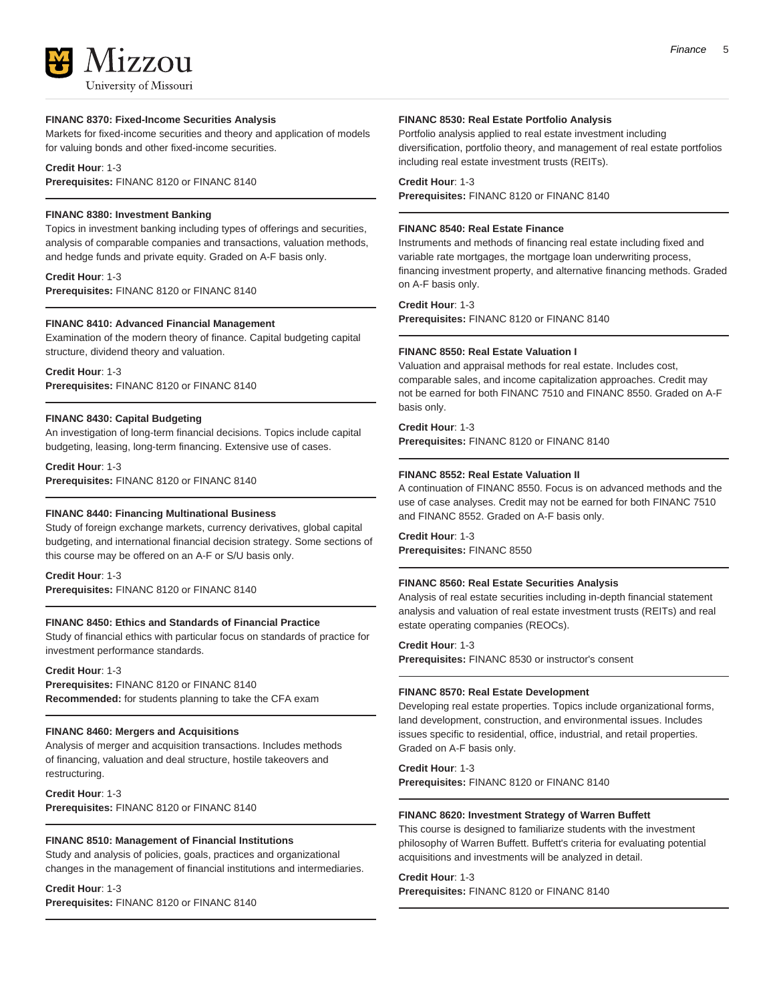## **17.7.011** University of Missouri

#### **FINANC 8370: Fixed-Income Securities Analysis**

Markets for fixed-income securities and theory and application of models for valuing bonds and other fixed-income securities.

#### **Credit Hour**: 1-3

**Prerequisites:** FINANC 8120 or FINANC 8140

#### **FINANC 8380: Investment Banking**

Topics in investment banking including types of offerings and securities, analysis of comparable companies and transactions, valuation methods, and hedge funds and private equity. Graded on A-F basis only.

**Credit Hour**: 1-3 **Prerequisites:** FINANC 8120 or FINANC 8140

#### **FINANC 8410: Advanced Financial Management**

Examination of the modern theory of finance. Capital budgeting capital structure, dividend theory and valuation.

**Credit Hour**: 1-3 **Prerequisites:** FINANC 8120 or FINANC 8140

#### **FINANC 8430: Capital Budgeting**

An investigation of long-term financial decisions. Topics include capital budgeting, leasing, long-term financing. Extensive use of cases.

**Credit Hour**: 1-3 **Prerequisites:** FINANC 8120 or FINANC 8140

#### **FINANC 8440: Financing Multinational Business**

Study of foreign exchange markets, currency derivatives, global capital budgeting, and international financial decision strategy. Some sections of this course may be offered on an A-F or S/U basis only.

**Credit Hour**: 1-3

**Prerequisites:** FINANC 8120 or FINANC 8140

#### **FINANC 8450: Ethics and Standards of Financial Practice**

Study of financial ethics with particular focus on standards of practice for investment performance standards.

**Credit Hour**: 1-3

**Prerequisites:** FINANC 8120 or FINANC 8140 **Recommended:** for students planning to take the CFA exam

#### **FINANC 8460: Mergers and Acquisitions**

Analysis of merger and acquisition transactions. Includes methods of financing, valuation and deal structure, hostile takeovers and restructuring.

**Credit Hour**: 1-3 **Prerequisites:** FINANC 8120 or FINANC 8140

#### **FINANC 8510: Management of Financial Institutions**

Study and analysis of policies, goals, practices and organizational changes in the management of financial institutions and intermediaries.

#### **Credit Hour**: 1-3

**Prerequisites:** FINANC 8120 or FINANC 8140

#### **FINANC 8530: Real Estate Portfolio Analysis**

Portfolio analysis applied to real estate investment including diversification, portfolio theory, and management of real estate portfolios including real estate investment trusts (REITs).

#### **Credit Hour**: 1-3

**Prerequisites:** FINANC 8120 or FINANC 8140

#### **FINANC 8540: Real Estate Finance**

Instruments and methods of financing real estate including fixed and variable rate mortgages, the mortgage loan underwriting process, financing investment property, and alternative financing methods. Graded on A-F basis only.

**Credit Hour**: 1-3

**Prerequisites:** FINANC 8120 or FINANC 8140

#### **FINANC 8550: Real Estate Valuation I**

Valuation and appraisal methods for real estate. Includes cost, comparable sales, and income capitalization approaches. Credit may not be earned for both FINANC 7510 and FINANC 8550. Graded on A-F basis only.

#### **Credit Hour**: 1-3

**Prerequisites:** FINANC 8120 or FINANC 8140

#### **FINANC 8552: Real Estate Valuation II**

A continuation of FINANC 8550. Focus is on advanced methods and the use of case analyses. Credit may not be earned for both FINANC 7510 and FINANC 8552. Graded on A-F basis only.

**Credit Hour**: 1-3 **Prerequisites:** FINANC 8550

#### **FINANC 8560: Real Estate Securities Analysis**

Analysis of real estate securities including in-depth financial statement analysis and valuation of real estate investment trusts (REITs) and real estate operating companies (REOCs).

**Credit Hour**: 1-3

**Prerequisites:** FINANC 8530 or instructor's consent

#### **FINANC 8570: Real Estate Development**

Developing real estate properties. Topics include organizational forms, land development, construction, and environmental issues. Includes issues specific to residential, office, industrial, and retail properties. Graded on A-F basis only.

**Credit Hour**: 1-3 **Prerequisites:** FINANC 8120 or FINANC 8140

#### **FINANC 8620: Investment Strategy of Warren Buffett**

This course is designed to familiarize students with the investment philosophy of Warren Buffett. Buffett's criteria for evaluating potential acquisitions and investments will be analyzed in detail.

#### **Credit Hour**: 1-3

**Prerequisites:** FINANC 8120 or FINANC 8140